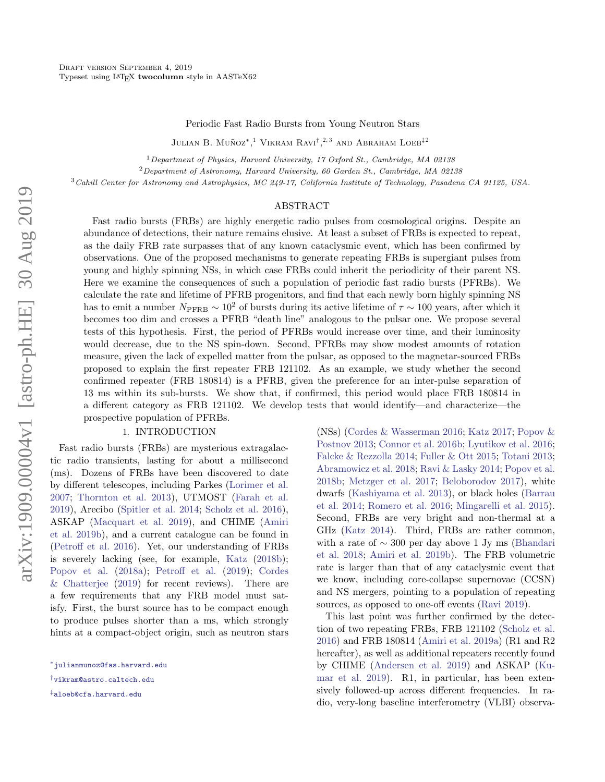Periodic Fast Radio Bursts from Young Neutron Stars

Julian B. Muñoz<sup>\*</sup>.<sup>1</sup> Vikram Ravi<sup>†</sup>.<sup>2, 3</sup> and Abraham Loeb<sup>‡2</sup>

<sup>1</sup> Department of Physics, Harvard University, 17 Oxford St., Cambridge, MA 02138

<sup>2</sup>Department of Astronomy, Harvard University, 60 Garden St., Cambridge, MA 02138

<sup>3</sup>Cahill Center for Astronomy and Astrophysics, MC 249-17, California Institute of Technology, Pasadena CA 91125, USA.

# ABSTRACT

Fast radio bursts (FRBs) are highly energetic radio pulses from cosmological origins. Despite an abundance of detections, their nature remains elusive. At least a subset of FRBs is expected to repeat, as the daily FRB rate surpasses that of any known cataclysmic event, which has been confirmed by observations. One of the proposed mechanisms to generate repeating FRBs is supergiant pulses from young and highly spinning NSs, in which case FRBs could inherit the periodicity of their parent NS. Here we examine the consequences of such a population of periodic fast radio bursts (PFRBs). We calculate the rate and lifetime of PFRB progenitors, and find that each newly born highly spinning NS has to emit a number  $N_{\text{PFRB}} \sim 10^2$  of bursts during its active lifetime of  $\tau \sim 100$  years, after which it becomes too dim and crosses a PFRB "death line" analogous to the pulsar one. We propose several tests of this hypothesis. First, the period of PFRBs would increase over time, and their luminosity would decrease, due to the NS spin-down. Second, PFRBs may show modest amounts of rotation measure, given the lack of expelled matter from the pulsar, as opposed to the magnetar-sourced FRBs proposed to explain the first repeater FRB 121102. As an example, we study whether the second confirmed repeater (FRB 180814) is a PFRB, given the preference for an inter-pulse separation of 13 ms within its sub-bursts. We show that, if confirmed, this period would place FRB 180814 in a different category as FRB 121102. We develop tests that would identify—and characterize—the prospective population of PFRBs.

## 1. INTRODUCTION

Fast radio bursts (FRBs) are mysterious extragalactic radio transients, lasting for about a millisecond (ms). Dozens of FRBs have been discovered to date by different telescopes, including Parkes [\(Lorimer et al.](#page-6-0) [2007;](#page-6-0) [Thornton et al.](#page-7-0) [2013\)](#page-7-0), UTMOST [\(Farah et al.](#page-6-1) [2019\)](#page-6-1), Arecibo [\(Spitler et al.](#page-7-1) [2014;](#page-7-1) [Scholz et al.](#page-7-2) [2016\)](#page-7-2), ASKAP [\(Macquart et al.](#page-7-3) [2019\)](#page-7-3), and CHIME [\(Amiri](#page-6-2) [et al.](#page-6-2) [2019b\)](#page-6-2), and a current catalogue can be found in [\(Petroff et al.](#page-7-4) [2016\)](#page-7-4). Yet, our understanding of FRBs is severely lacking (see, for example, [Katz](#page-6-3) [\(2018b\)](#page-6-3); [Popov et al.](#page-7-5) [\(2018a\)](#page-7-5); [Petroff et al.](#page-7-6) [\(2019\)](#page-7-6); [Cordes](#page-6-4) [& Chatterjee](#page-6-4)  $(2019)$  for recent reviews). There are a few requirements that any FRB model must satisfy. First, the burst source has to be compact enough to produce pulses shorter than a ms, which strongly hints at a compact-object origin, such as neutron stars (NSs) [\(Cordes & Wasserman](#page-6-5) [2016;](#page-6-5) [Katz](#page-6-6) [2017;](#page-6-6) [Popov &](#page-7-7) [Postnov](#page-7-7) [2013;](#page-7-7) [Connor et al.](#page-6-7) [2016b;](#page-6-7) [Lyutikov et al.](#page-7-8) [2016;](#page-7-8) [Falcke & Rezzolla](#page-6-8) [2014;](#page-6-8) [Fuller & Ott](#page-6-9) [2015;](#page-6-9) [Totani](#page-7-9) [2013;](#page-7-9) [Abramowicz et al.](#page-6-10) [2018;](#page-6-10) [Ravi & Lasky](#page-7-10) [2014;](#page-7-10) [Popov et al.](#page-7-11) [2018b;](#page-7-11) [Metzger et al.](#page-7-12) [2017;](#page-7-12) [Beloborodov](#page-6-11) [2017\)](#page-6-11), white dwarfs [\(Kashiyama et al.](#page-6-12) [2013\)](#page-6-12), or black holes [\(Barrau](#page-6-13) [et al.](#page-6-13) [2014;](#page-6-13) [Romero et al.](#page-7-13) [2016;](#page-7-13) [Mingarelli et al.](#page-7-14) [2015\)](#page-7-14). Second, FRBs are very bright and non-thermal at a GHz [\(Katz](#page-6-14) [2014\)](#page-6-14). Third, FRBs are rather common, with a rate of ∼ 300 per day above 1 Jy ms [\(Bhandari](#page-6-15) [et al.](#page-6-15) [2018;](#page-6-15) [Amiri et al.](#page-6-2) [2019b\)](#page-6-2). The FRB volumetric rate is larger than that of any cataclysmic event that we know, including core-collapse supernovae (CCSN) and NS mergers, pointing to a population of repeating sources, as opposed to one-off events [\(Ravi](#page-7-15) [2019\)](#page-7-15).

This last point was further confirmed by the detection of two repeating FRBs, FRB 121102 [\(Scholz et al.](#page-7-2) [2016\)](#page-7-2) and FRB 180814 [\(Amiri et al.](#page-6-16) [2019a\)](#page-6-16) (R1 and R2 hereafter), as well as additional repeaters recently found by CHIME [\(Andersen et al.](#page-6-17) [2019\)](#page-6-17) and ASKAP [\(Ku](#page-6-18)[mar et al.](#page-6-18) [2019\)](#page-6-18). R1, in particular, has been extensively followed-up across different frequencies. In radio, very-long baseline interferometry (VLBI) observa-

<sup>∗</sup>[julianmunoz@fas.harvard.edu](mailto: $^*$\protect \protect \protect \edef OT1{OT1}\let \enc@update \relax \protect \edef cmr{cmr}\protect \edef m{m}\protect \edef n{n}\protect \xdef \OT1/cmr/m/n/6 {\OT1/cmr/m/n/8 }\OT1/cmr/m/n/6 \size@update \enc@update \ignorespaces \relax \protect \relax \protect \edef cmr{cmtt}\protect \xdef \OT1/cmr/m/n/6 {\OT1/cmr/m/n/8 }\OT1/cmr/m/n/6 \size@update \enc@update julianmunoz@fas.harvard.edu)

<sup>†</sup>[vikram@astro.caltech.edu](mailto: $^\dagger $\protect \protect \protect \edef OT1{OT1}\let \enc@update \relax \protect \edef cmr{cmr}\protect \edef m{m}\protect \edef n{n}\protect \xdef \OT1/cmr/m/n/6 {\OT1/cmr/m/n/8 }\OT1/cmr/m/n/6 \size@update \enc@update \ignorespaces \relax \protect \relax \protect \edef cmr{cmtt}\protect \xdef \OT1/cmr/m/n/6 {\OT1/cmr/m/n/8 }\OT1/cmr/m/n/6 \size@update \enc@update vikram@astro.caltech.edu)

<sup>‡</sup>[aloeb@cfa.harvard.edu](mailto: $^\ddagger $\protect \protect \protect \edef OT1{OT1}\let \enc@update \relax \protect \edef cmr{cmr}\protect \edef m{m}\protect \edef n{n}\protect \xdef \OT1/cmr/m/n/6 {\OT1/cmr/m/n/8 }\OT1/cmr/m/n/6 \size@update \enc@update \ignorespaces \relax \protect \relax \protect \edef cmr{cmtt}\protect \xdef \OT1/cmr/m/n/6 {\OT1/cmr/m/n/8 }\OT1/cmr/m/n/6 \size@update \enc@update aloeb@cfa.harvard.edu)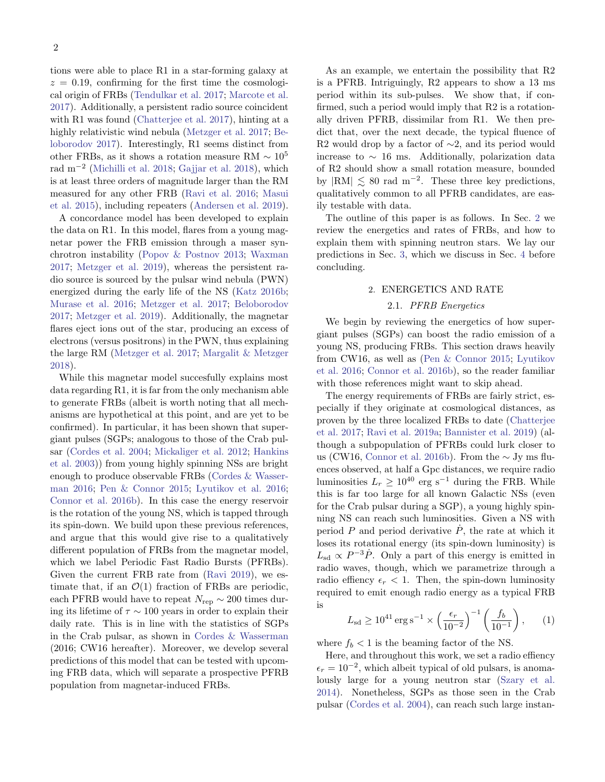tions were able to place R1 in a star-forming galaxy at  $z = 0.19$ , confirming for the first time the cosmological origin of FRBs [\(Tendulkar et al.](#page-7-16) [2017;](#page-7-16) [Marcote et al.](#page-7-17) [2017\)](#page-7-17). Additionally, a persistent radio source coincident with R1 was found [\(Chatterjee et al.](#page-6-19) [2017\)](#page-6-19), hinting at a highly relativistic wind nebula [\(Metzger et al.](#page-7-12) [2017;](#page-7-12) [Be](#page-6-11)[loborodov](#page-6-11) [2017\)](#page-6-11). Interestingly, R1 seems distinct from other FRBs, as it shows a rotation measure RM  $\sim 10^5$ rad m−<sup>2</sup> [\(Michilli et al.](#page-7-18) [2018;](#page-7-18) [Gajjar et al.](#page-6-20) [2018\)](#page-6-20), which is at least three orders of magnitude larger than the RM measured for any other FRB [\(Ravi et al.](#page-7-19) [2016;](#page-7-19) [Masui](#page-7-20) [et al.](#page-7-20) [2015\)](#page-7-20), including repeaters [\(Andersen et al.](#page-6-17) [2019\)](#page-6-17).

A concordance model has been developed to explain the data on R1. In this model, flares from a young magnetar power the FRB emission through a maser synchrotron instability [\(Popov & Postnov](#page-7-7) [2013;](#page-7-7) [Waxman](#page-7-21) [2017;](#page-7-21) [Metzger et al.](#page-7-22) [2019\)](#page-7-22), whereas the persistent radio source is sourced by the pulsar wind nebula (PWN) energized during the early life of the NS [\(Katz](#page-6-21) [2016b;](#page-6-21) [Murase et al.](#page-7-23) [2016;](#page-7-23) [Metzger et al.](#page-7-12) [2017;](#page-7-12) [Beloborodov](#page-6-11) [2017;](#page-6-11) [Metzger et al.](#page-7-22) [2019\)](#page-7-22). Additionally, the magnetar flares eject ions out of the star, producing an excess of electrons (versus positrons) in the PWN, thus explaining the large RM [\(Metzger et al.](#page-7-12) [2017;](#page-7-12) [Margalit & Metzger](#page-7-24) [2018\)](#page-7-24).

While this magnetar model succesfully explains most data regarding R1, it is far from the only mechanism able to generate FRBs (albeit is worth noting that all mechanisms are hypothetical at this point, and are yet to be confirmed). In particular, it has been shown that supergiant pulses (SGPs; analogous to those of the Crab pulsar [\(Cordes et al.](#page-6-22) [2004;](#page-6-22) [Mickaliger et al.](#page-7-25) [2012;](#page-7-25) [Hankins](#page-6-23) [et al.](#page-6-23) [2003\)](#page-6-23)) from young highly spinning NSs are bright enough to produce observable FRBs [\(Cordes & Wasser](#page-6-5)[man](#page-6-5) [2016;](#page-6-5) [Pen & Connor](#page-7-26) [2015;](#page-7-26) [Lyutikov et al.](#page-7-8) [2016;](#page-7-8) [Connor et al.](#page-6-7) [2016b\)](#page-6-7). In this case the energy reservoir is the rotation of the young NS, which is tapped through its spin-down. We build upon these previous references, and argue that this would give rise to a qualitatively different population of FRBs from the magnetar model, which we label Periodic Fast Radio Bursts (PFRBs). Given the current FRB rate from [\(Ravi](#page-7-15) [2019\)](#page-7-15), we estimate that, if an  $\mathcal{O}(1)$  fraction of FRBs are periodic, each PFRB would have to repeat  $N_{\text{rep}} \sim 200$  times during its lifetime of  $\tau \sim 100$  years in order to explain their daily rate. This is in line with the statistics of SGPs in the Crab pulsar, as shown in [Cordes & Wasserman](#page-6-5) (2016; CW16 hereafter). Moreover, we develop several predictions of this model that can be tested with upcoming FRB data, which will separate a prospective PFRB population from magnetar-induced FRBs.

As an example, we entertain the possibility that R2 is a PFRB. Intriguingly, R2 appears to show a 13 ms period within its sub-pulses. We show that, if confirmed, such a period would imply that R2 is a rotationally driven PFRB, dissimilar from R1. We then predict that, over the next decade, the typical fluence of R2 would drop by a factor of  $\sim$ 2, and its period would increase to  $\sim$  16 ms. Additionally, polarization data of R2 should show a small rotation measure, bounded by  $|RM| \lesssim 80$  rad m<sup>-2</sup>. These three key predictions, qualitatively common to all PFRB candidates, are easily testable with data.

The outline of this paper is as follows. In Sec. [2](#page-1-0) we review the energetics and rates of FRBs, and how to explain them with spinning neutron stars. We lay our predictions in Sec. [3,](#page-4-0) which we discuss in Sec. [4](#page-5-0) before concluding.

## 2. ENERGETICS AND RATE

# 2.1. PFRB Energetics

<span id="page-1-0"></span>We begin by reviewing the energetics of how supergiant pulses (SGPs) can boost the radio emission of a young NS, producing FRBs. This section draws heavily from CW16, as well as [\(Pen & Connor](#page-7-26) [2015;](#page-7-26) [Lyutikov](#page-7-8) [et al.](#page-7-8) [2016;](#page-7-8) [Connor et al.](#page-6-7) [2016b\)](#page-6-7), so the reader familiar with those references might want to skip ahead.

The energy requirements of FRBs are fairly strict, especially if they originate at cosmological distances, as proven by the three localized FRBs to date [\(Chatterjee](#page-6-19) [et al.](#page-6-19) [2017;](#page-6-19) [Ravi et al.](#page-7-27) [2019a;](#page-7-27) [Bannister et al.](#page-6-24) [2019\)](#page-6-24) (although a subpopulation of PFRBs could lurk closer to us (CW16, [Connor et al.](#page-6-7) [2016b\)](#page-6-7). From the ∼ Jy ms fluences observed, at half a Gpc distances, we require radio luminosities  $L_r \geq 10^{40}$  erg s<sup>-1</sup> during the FRB. While this is far too large for all known Galactic NSs (even for the Crab pulsar during a SGP), a young highly spinning NS can reach such luminosities. Given a NS with period  $P$  and period derivative  $\dot{P}$ , the rate at which it loses its rotational energy (its spin-down luminosity) is  $L_{\rm sd} \propto P^{-3} \dot{P}$ . Only a part of this energy is emitted in radio waves, though, which we parametrize through a radio effiency  $\epsilon_r < 1$ . Then, the spin-down luminosity required to emit enough radio energy as a typical FRB is

<span id="page-1-1"></span>
$$
L_{\rm sd} \ge 10^{41} \,\rm erg \,s^{-1} \times \left(\frac{\epsilon_r}{10^{-2}}\right)^{-1} \left(\frac{f_b}{10^{-1}}\right),
$$
 (1)

where  $f_b < 1$  is the beaming factor of the NS.

Here, and throughout this work, we set a radio effiency  $\epsilon_r = 10^{-2}$ , which albeit typical of old pulsars, is anomalously large for a young neutron star [\(Szary et al.](#page-7-28) [2014\)](#page-7-28). Nonetheless, SGPs as those seen in the Crab pulsar [\(Cordes et al.](#page-6-22) [2004\)](#page-6-22), can reach such large instan-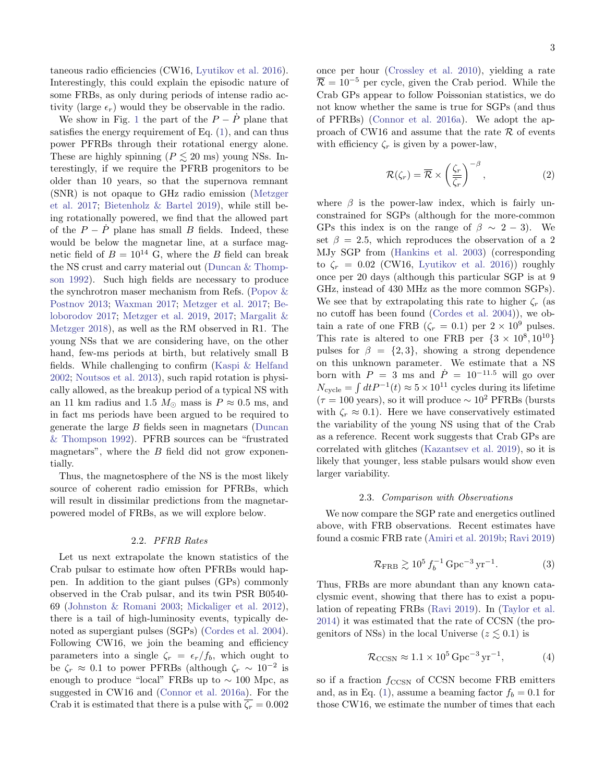taneous radio efficiencies (CW16, [Lyutikov et al.](#page-7-8) [2016\)](#page-7-8). Interestingly, this could explain the episodic nature of some FRBs, as only during periods of intense radio activity (large  $\epsilon_r$ ) would they be observable in the radio.

We show in Fig. [1](#page-3-0) the part of the  $P - \dot{P}$  plane that satisfies the energy requirement of Eq. [\(1\)](#page-1-1), and can thus power PFRBs through their rotational energy alone. These are highly spinning ( $P \leq 20$  ms) young NSs. Interestingly, if we require the PFRB progenitors to be older than 10 years, so that the supernova remnant (SNR) is not opaque to GHz radio emission [\(Metzger](#page-7-12) [et al.](#page-7-12) [2017;](#page-7-12) [Bietenholz & Bartel](#page-6-25) [2019\)](#page-6-25), while still being rotationally powered, we find that the allowed part of the  $P - \dot{P}$  plane has small B fields. Indeed, these would be below the magnetar line, at a surface magnetic field of  $B = 10^{14}$  G, where the B field can break the NS crust and carry material out [\(Duncan & Thomp](#page-6-26)[son](#page-6-26) [1992\)](#page-6-26). Such high fields are necessary to produce the synchrotron maser mechanism from Refs. [\(Popov &](#page-7-7) [Postnov](#page-7-7) [2013;](#page-7-7) [Waxman](#page-7-21) [2017;](#page-7-21) [Metzger et al.](#page-7-12) [2017;](#page-7-12) [Be](#page-6-11)[loborodov](#page-6-11) [2017;](#page-6-11) [Metzger et al.](#page-7-22) [2019,](#page-7-22) [2017;](#page-7-12) [Margalit &](#page-7-24) [Metzger](#page-7-24) [2018\)](#page-7-24), as well as the RM observed in R1. The young NSs that we are considering have, on the other hand, few-ms periods at birth, but relatively small B fields. While challenging to confirm [\(Kaspi & Helfand](#page-6-27) [2002;](#page-6-27) [Noutsos et al.](#page-7-29) [2013\)](#page-7-29), such rapid rotation is physically allowed, as the breakup period of a typical NS with an 11 km radius and 1.5  $M_{\odot}$  mass is  $P \approx 0.5$  ms, and in fact ms periods have been argued to be required to generate the large B fields seen in magnetars [\(Duncan](#page-6-26) [& Thompson](#page-6-26) [1992\)](#page-6-26). PFRB sources can be "frustrated magnetars", where the  $B$  field did not grow exponentially.

Thus, the magnetosphere of the NS is the most likely source of coherent radio emission for PFRBs, which will result in dissimilar predictions from the magnetarpowered model of FRBs, as we will explore below.

#### 2.2. PFRB Rates

Let us next extrapolate the known statistics of the Crab pulsar to estimate how often PFRBs would happen. In addition to the giant pulses (GPs) commonly observed in the Crab pulsar, and its twin PSR B0540- 69 [\(Johnston & Romani](#page-6-28) [2003;](#page-6-28) [Mickaliger et al.](#page-7-25) [2012\)](#page-7-25), there is a tail of high-luminosity events, typically denoted as supergiant pulses (SGPs) [\(Cordes et al.](#page-6-22) [2004\)](#page-6-22). Following CW16, we join the beaming and efficiency parameters into a single  $\zeta_r = \epsilon_r/f_b$ , which ought to be  $\zeta_r \approx 0.1$  to power PFRBs (although  $\zeta_r \sim 10^{-2}$  is enough to produce "local" FRBs up to  $\sim 100$  Mpc, as suggested in CW16 and [\(Connor et al.](#page-6-29) [2016a\)](#page-6-29). For the Crab it is estimated that there is a pulse with  $\overline{\zeta_r} = 0.002$  once per hour [\(Crossley et al.](#page-6-30) [2010\)](#page-6-30), yielding a rate  $\overline{\mathcal{R}} = 10^{-5}$  per cycle, given the Crab period. While the Crab GPs appear to follow Poissonian statistics, we do not know whether the same is true for SGPs (and thus of PFRBs) [\(Connor et al.](#page-6-29) [2016a\)](#page-6-29). We adopt the approach of CW16 and assume that the rate  $\mathcal R$  of events with efficiency  $\zeta_r$  is given by a power-law,

$$
\mathcal{R}(\zeta_r) = \overline{\mathcal{R}} \times \left(\frac{\zeta_r}{\overline{\zeta_r}}\right)^{-\beta},\tag{2}
$$

where  $\beta$  is the power-law index, which is fairly unconstrained for SGPs (although for the more-common GPs this index is on the range of  $\beta \sim 2 - 3$ . We set  $\beta = 2.5$ , which reproduces the observation of a 2 MJy SGP from [\(Hankins et al.](#page-6-23) [2003\)](#page-6-23) (corresponding to  $\zeta_r = 0.02$  (CW16, [Lyutikov et al.](#page-7-8) [2016\)](#page-7-8)) roughly once per 20 days (although this particular SGP is at 9 GHz, instead of 430 MHz as the more common SGPs). We see that by extrapolating this rate to higher  $\zeta_r$  (as no cutoff has been found [\(Cordes et al.](#page-6-22) [2004\)](#page-6-22)), we obtain a rate of one FRB ( $\zeta_r = 0.1$ ) per  $2 \times 10^9$  pulses. This rate is altered to one FRB per  $\{3 \times 10^8, 10^{10}\}$ pulses for  $\beta = \{2, 3\}$ , showing a strong dependence on this unknown parameter. We estimate that a NS born with  $P = 3$  ms and  $\dot{P} = 10^{-11.5}$  will go over  $N_{\text{cycle}} = \int dt P^{-1}(t) \approx 5 \times 10^{11}$  cycles during its lifetime  $(\tau = 100 \text{ years})$ , so it will produce  $\sim 10^2$  PFRBs (bursts) with  $\zeta_r \approx 0.1$ ). Here we have conservatively estimated the variability of the young NS using that of the Crab as a reference. Recent work suggests that Crab GPs are correlated with glitches [\(Kazantsev et al.](#page-6-31) [2019\)](#page-6-31), so it is likely that younger, less stable pulsars would show even larger variability.

#### 2.3. Comparison with Observations

We now compare the SGP rate and energetics outlined above, with FRB observations. Recent estimates have found a cosmic FRB rate [\(Amiri et al.](#page-6-2) [2019b;](#page-6-2) [Ravi](#page-7-15) [2019\)](#page-7-15)

$$
\mathcal{R}_{\rm FRB} \gtrsim 10^5 \, f_b^{-1} \, \text{Gpc}^{-3} \, \text{yr}^{-1}.
$$
 (3)

Thus, FRBs are more abundant than any known cataclysmic event, showing that there has to exist a population of repeating FRBs [\(Ravi](#page-7-15) [2019\)](#page-7-15). In [\(Taylor et al.](#page-7-30) [2014\)](#page-7-30) it was estimated that the rate of CCSN (the progenitors of NSs) in the local Universe ( $z \leq 0.1$ ) is

$$
\mathcal{R}_{\text{CCSN}} \approx 1.1 \times 10^5 \,\text{Gpc}^{-3} \,\text{yr}^{-1},\tag{4}
$$

so if a fraction  $f_{\text{CCSN}}$  of CCSN become FRB emitters and, as in Eq. [\(1\)](#page-1-1), assume a beaming factor  $f_b = 0.1$  for those CW16, we estimate the number of times that each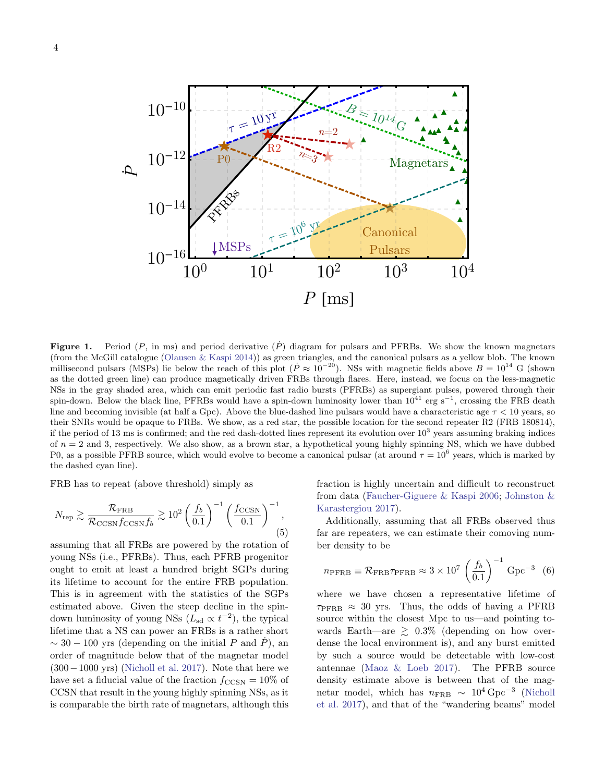

<span id="page-3-0"></span>**Figure 1.** Period (P, in ms) and period derivative  $(\dot{P})$  diagram for pulsars and PFRBs. We show the known magnetars (from the McGill catalogue [\(Olausen & Kaspi](#page-7-31) [2014\)](#page-7-31)) as green triangles, and the canonical pulsars as a yellow blob. The known millisecond pulsars (MSPs) lie below the reach of this plot ( $\dot{P} \approx 10^{-20}$ ). NSs with magnetic fields above  $B = 10^{14}$  G (shown as the dotted green line) can produce magnetically driven FRBs through flares. Here, instead, we focus on the less-magnetic NSs in the gray shaded area, which can emit periodic fast radio bursts (PFRBs) as supergiant pulses, powered through their spin-down. Below the black line, PFRBs would have a spin-down luminosity lower than  $10^{41}$  erg s<sup>-1</sup>, crossing the FRB death line and becoming invisible (at half a Gpc). Above the blue-dashed line pulsars would have a characteristic age  $\tau < 10$  years, so their SNRs would be opaque to FRBs. We show, as a red star, the possible location for the second repeater R2 (FRB 180814), if the period of 13 ms is confirmed; and the red dash-dotted lines represent its evolution over  $10^3$  years assuming braking indices of  $n = 2$  and 3, respectively. We also show, as a brown star, a hypothetical young highly spinning NS, which we have dubbed P0, as a possible PFRB source, which would evolve to become a canonical pulsar (at around  $\tau = 10^6$  years, which is marked by the dashed cyan line).

FRB has to repeat (above threshold) simply as

$$
N_{\rm rep} \gtrsim \frac{\mathcal{R}_{\rm FRB}}{\mathcal{R}_{\rm CCSN}f_{\rm CCSN}f_b} \gtrsim 10^2 \left(\frac{f_b}{0.1}\right)^{-1} \left(\frac{f_{\rm CCSN}}{0.1}\right)^{-1},\tag{5}
$$

assuming that all FRBs are powered by the rotation of young NSs (i.e., PFRBs). Thus, each PFRB progenitor ought to emit at least a hundred bright SGPs during its lifetime to account for the entire FRB population. This is in agreement with the statistics of the SGPs estimated above. Given the steep decline in the spindown luminosity of young NSs ( $L_{sd} \propto t^{-2}$ ), the typical lifetime that a NS can power an FRBs is a rather short  $\sim$  30 − 100 yrs (depending on the initial P and P), an order of magnitude below that of the magnetar model (300−1000 yrs) [\(Nicholl et al.](#page-7-32) [2017\)](#page-7-32). Note that here we have set a fiducial value of the fraction  $f_{\text{CCSN}} = 10\%$  of CCSN that result in the young highly spinning NSs, as it is comparable the birth rate of magnetars, although this

fraction is highly uncertain and difficult to reconstruct from data [\(Faucher-Giguere & Kaspi](#page-6-32) [2006;](#page-6-32) [Johnston &](#page-6-33) [Karastergiou](#page-6-33) [2017\)](#page-6-33).

Additionally, assuming that all FRBs observed thus far are repeaters, we can estimate their comoving number density to be

$$
n_{\text{PFRB}} \equiv \mathcal{R}_{\text{FRB}} \tau_{\text{PFRB}} \approx 3 \times 10^7 \left(\frac{f_b}{0.1}\right)^{-1} \text{ Gpc}^{-3} \tag{6}
$$

where we have chosen a representative lifetime of  $\tau_{\rm PFRB} \approx 30$  yrs. Thus, the odds of having a PFRB source within the closest Mpc to us—and pointing towards Earth—are  $\geq 0.3\%$  (depending on how overdense the local environment is), and any burst emitted by such a source would be detectable with low-cost antennae [\(Maoz & Loeb](#page-7-33) [2017\)](#page-7-33). The PFRB source density estimate above is between that of the magnetar model, which has  $n_{\text{FRB}} \sim 10^4 \text{ Gpc}^{-3}$  [\(Nicholl](#page-7-32) [et al.](#page-7-32) [2017\)](#page-7-32), and that of the "wandering beams" model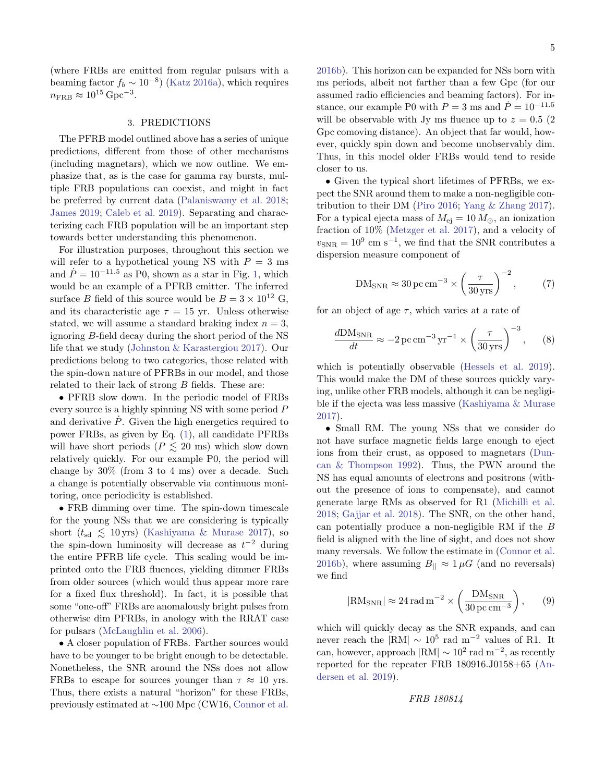(where FRBs are emitted from regular pulsars with a beaming factor  $f_b \sim 10^{-8}$ ) [\(Katz](#page-6-34) [2016a\)](#page-6-34), which requires  $n_{\rm FRB} \approx 10^{15} \,\rm Gpc^{-3}.$ 

#### 3. PREDICTIONS

<span id="page-4-0"></span>The PFRB model outlined above has a series of unique predictions, different from those of other mechanisms (including magnetars), which we now outline. We emphasize that, as is the case for gamma ray bursts, multiple FRB populations can coexist, and might in fact be preferred by current data [\(Palaniswamy et al.](#page-7-34) [2018;](#page-7-34) [James](#page-6-35) [2019;](#page-6-35) [Caleb et al.](#page-6-36) [2019\)](#page-6-36). Separating and characterizing each FRB population will be an important step towards better understanding this phenomenon.

For illustration purposes, throughout this section we will refer to a hypothetical young NS with  $P = 3$  ms and  $\dot{P} = 10^{-11.5}$  as P0, shown as a star in Fig. [1,](#page-3-0) which would be an example of a PFRB emitter. The inferred surface B field of this source would be  $B = 3 \times 10^{12}$  G, and its characteristic age  $\tau = 15$  yr. Unless otherwise stated, we will assume a standard braking index  $n = 3$ , ignoring B-field decay during the short period of the NS life that we study [\(Johnston & Karastergiou](#page-6-33) [2017\)](#page-6-33). Our predictions belong to two categories, those related with the spin-down nature of PFRBs in our model, and those related to their lack of strong  $B$  fields. These are:

• PFRB slow down. In the periodic model of FRBs every source is a highly spinning NS with some period P and derivative  $\dot{P}$ . Given the high energetics required to power FRBs, as given by Eq. [\(1\)](#page-1-1), all candidate PFRBs will have short periods ( $P \leq 20$  ms) which slow down relatively quickly. For our example P0, the period will change by 30% (from 3 to 4 ms) over a decade. Such a change is potentially observable via continuous monitoring, once periodicity is established.

• FRB dimming over time. The spin-down timescale for the young NSs that we are considering is typically short  $(t_{sd} \leq 10 \,\text{yrs})$  [\(Kashiyama & Murase](#page-6-37) [2017\)](#page-6-37), so the spin-down luminosity will decrease as  $t^{-2}$  during the entire PFRB life cycle. This scaling would be imprinted onto the FRB fluences, yielding dimmer FRBs from older sources (which would thus appear more rare for a fixed flux threshold). In fact, it is possible that some "one-off" FRBs are anomalously bright pulses from otherwise dim PFRBs, in anology with the RRAT case for pulsars [\(McLaughlin et al.](#page-7-35) [2006\)](#page-7-35).

• A closer population of FRBs. Farther sources would have to be younger to be bright enough to be detectable. Nonetheless, the SNR around the NSs does not allow FRBs to escape for sources younger than  $\tau \approx 10$  yrs. Thus, there exists a natural "horizon" for these FRBs, previously estimated at ∼100 Mpc (CW16, [Connor et al.](#page-6-7) [2016b\)](#page-6-7). This horizon can be expanded for NSs born with ms periods, albeit not farther than a few Gpc (for our assumed radio efficiencies and beaming factors). For instance, our example P0 with  $P = 3$  ms and  $\dot{P} = 10^{-11.5}$ will be observable with Jy ms fluence up to  $z = 0.5$  (2) Gpc comoving distance). An object that far would, however, quickly spin down and become unobservably dim. Thus, in this model older FRBs would tend to reside closer to us.

• Given the typical short lifetimes of PFRBs, we expect the SNR around them to make a non-negligible contribution to their DM [\(Piro](#page-7-36) [2016;](#page-7-36) [Yang & Zhang](#page-7-37) [2017\)](#page-7-37). For a typical ejecta mass of  $M_{\rm ej} = 10\,M_\odot,$  an ionization fraction of 10% [\(Metzger et al.](#page-7-12) [2017\)](#page-7-12), and a velocity of  $v_{\text{SNR}} = 10^9 \text{ cm s}^{-1}$ , we find that the SNR contributes a dispersion measure component of

<span id="page-4-2"></span><span id="page-4-1"></span>
$$
DM_{SNR} \approx 30 \,\text{pc}\,\text{cm}^{-3} \times \left(\frac{\tau}{30\,\text{yrs}}\right)^{-2},\tag{7}
$$

for an object of age  $\tau$ , which varies at a rate of

$$
\frac{d\text{DM}_{\text{SNR}}}{dt} \approx -2\,\text{pc}\,\text{cm}^{-3}\,\text{yr}^{-1} \times \left(\frac{\tau}{30\,\text{yrs}}\right)^{-3},\qquad(8)
$$

which is potentially observable [\(Hessels et al.](#page-6-38) [2019\)](#page-6-38). This would make the DM of these sources quickly varying, unlike other FRB models, although it can be negligible if the ejecta was less massive [\(Kashiyama & Murase](#page-6-37) [2017\)](#page-6-37).

• Small RM. The young NSs that we consider do not have surface magnetic fields large enough to eject ions from their crust, as opposed to magnetars [\(Dun](#page-6-26)[can & Thompson](#page-6-26) [1992\)](#page-6-26). Thus, the PWN around the NS has equal amounts of electrons and positrons (without the presence of ions to compensate), and cannot generate large RMs as observed for R1 [\(Michilli et al.](#page-7-18) [2018;](#page-7-18) [Gajjar et al.](#page-6-20) [2018\)](#page-6-20). The SNR, on the other hand, can potentially produce a non-negligible RM if the B field is aligned with the line of sight, and does not show many reversals. We follow the estimate in [\(Connor et al.](#page-6-7) [2016b\)](#page-6-7), where assuming  $B_{\parallel} \approx 1 \mu G$  (and no reversals) we find

<span id="page-4-3"></span>
$$
|\text{RM}_{\text{SNR}}| \approx 24 \,\text{rad}\,\text{m}^{-2} \times \left(\frac{\text{DM}_{\text{SNR}}}{30 \,\text{pc}\,\text{cm}^{-3}}\right),\qquad(9)
$$

which will quickly decay as the SNR expands, and can never reach the  $|RM| \sim 10^5$  rad m<sup>-2</sup> values of R1. It can, however, approach  $|RM| \sim 10^2$  rad m<sup>-2</sup>, as recently reported for the repeater FRB 180916.J0158+65 [\(An](#page-6-17)[dersen et al.](#page-6-17) [2019\)](#page-6-17).

FRB 180814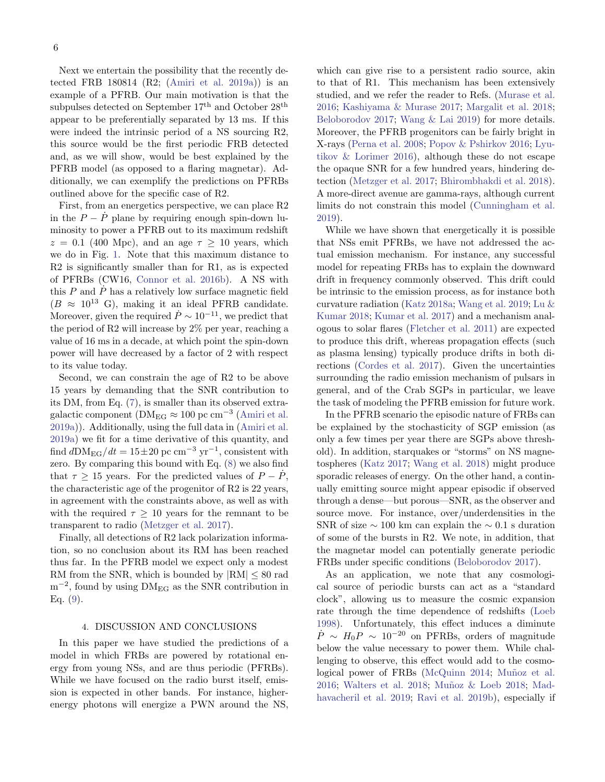Next we entertain the possibility that the recently detected FRB 180814 (R2; [\(Amiri et al.](#page-6-16) [2019a\)](#page-6-16)) is an example of a PFRB. Our main motivation is that the subpulses detected on September  $17<sup>th</sup>$  and October  $28<sup>th</sup>$ appear to be preferentially separated by 13 ms. If this were indeed the intrinsic period of a NS sourcing R2, this source would be the first periodic FRB detected and, as we will show, would be best explained by the PFRB model (as opposed to a flaring magnetar). Additionally, we can exemplify the predictions on PFRBs outlined above for the specific case of R2.

First, from an energetics perspective, we can place R2 in the  $P - \dot{P}$  plane by requiring enough spin-down luminosity to power a PFRB out to its maximum redshift  $z = 0.1$  (400 Mpc), and an age  $\tau \ge 10$  years, which we do in Fig. [1.](#page-3-0) Note that this maximum distance to R2 is significantly smaller than for R1, as is expected of PFRBs (CW16, [Connor et al.](#page-6-7) [2016b\)](#page-6-7). A NS with this  $P$  and  $\dot{P}$  has a relatively low surface magnetic field  $(B \approx 10^{13} \text{ G})$ , making it an ideal PFRB candidate. Moreover, given the required  $\dot{P} \sim 10^{-11}$ , we predict that the period of R2 will increase by 2% per year, reaching a value of 16 ms in a decade, at which point the spin-down power will have decreased by a factor of 2 with respect to its value today.

Second, we can constrain the age of R2 to be above 15 years by demanding that the SNR contribution to its DM, from Eq. [\(7\)](#page-4-1), is smaller than its observed extragalactic component ( $\text{DM}_{\text{EG}} \approx 100 \text{ pc cm}^{-3}$  [\(Amiri et al.](#page-6-16) [2019a\)](#page-6-16)). Additionally, using the full data in [\(Amiri et al.](#page-6-16) [2019a\)](#page-6-16) we fit for a time derivative of this quantity, and find  $dDM_{EG}/dt = 15 \pm 20$  pc cm<sup>-3</sup> yr<sup>-1</sup>, consistent with zero. By comparing this bound with Eq. [\(8\)](#page-4-2) we also find that  $\tau \geq 15$  years. For the predicted values of  $P - \dot{P}$ , the characteristic age of the progenitor of R2 is 22 years, in agreement with the constraints above, as well as with with the required  $\tau > 10$  years for the remnant to be transparent to radio [\(Metzger et al.](#page-7-12) [2017\)](#page-7-12).

Finally, all detections of R2 lack polarization information, so no conclusion about its RM has been reached thus far. In the PFRB model we expect only a modest RM from the SNR, which is bounded by  $|RM| \leq 80$  rad  $m^{-2}$ , found by using  $DM_{EG}$  as the SNR contribution in Eq. [\(9\)](#page-4-3).

## 4. DISCUSSION AND CONCLUSIONS

<span id="page-5-0"></span>In this paper we have studied the predictions of a model in which FRBs are powered by rotational energy from young NSs, and are thus periodic (PFRBs). While we have focused on the radio burst itself, emission is expected in other bands. For instance, higherenergy photons will energize a PWN around the NS,

which can give rise to a persistent radio source, akin to that of R1. This mechanism has been extensively studied, and we refer the reader to Refs. [\(Murase et al.](#page-7-23) [2016;](#page-7-23) [Kashiyama & Murase](#page-6-37) [2017;](#page-6-37) [Margalit et al.](#page-7-38) [2018;](#page-7-38) [Beloborodov](#page-6-11) [2017;](#page-6-11) [Wang & Lai](#page-7-39) [2019\)](#page-7-39) for more details. Moreover, the PFRB progenitors can be fairly bright in X-rays [\(Perna et al.](#page-7-40) [2008;](#page-7-40) [Popov & Pshirkov](#page-7-41) [2016;](#page-7-41) [Lyu](#page-7-42)[tikov & Lorimer](#page-7-42) [2016\)](#page-7-42), although these do not escape the opaque SNR for a few hundred years, hindering detection [\(Metzger et al.](#page-7-12) [2017;](#page-7-12) [Bhirombhakdi et al.](#page-6-39) [2018\)](#page-6-39). A more-direct avenue are gamma-rays, although current limits do not constrain this model [\(Cunningham et al.](#page-6-40) [2019\)](#page-6-40).

While we have shown that energetically it is possible that NSs emit PFRBs, we have not addressed the actual emission mechanism. For instance, any successful model for repeating FRBs has to explain the downward drift in frequency commonly observed. This drift could be intrinsic to the emission process, as for instance both curvature radiation [\(Katz](#page-6-41) [2018a;](#page-6-41) [Wang et al.](#page-7-43) [2019;](#page-7-43) [Lu &](#page-7-44) [Kumar](#page-7-44) [2018;](#page-7-44) [Kumar et al.](#page-6-42) [2017\)](#page-6-42) and a mechanism analogous to solar flares [\(Fletcher et al.](#page-6-43) [2011\)](#page-6-43) are expected to produce this drift, whereas propagation effects (such as plasma lensing) typically produce drifts in both directions [\(Cordes et al.](#page-6-44) [2017\)](#page-6-44). Given the uncertainties surrounding the radio emission mechanism of pulsars in general, and of the Crab SGPs in particular, we leave the task of modeling the PFRB emission for future work.

In the PFRB scenario the episodic nature of FRBs can be explained by the stochasticity of SGP emission (as only a few times per year there are SGPs above threshold). In addition, starquakes or "storms" on NS magnetospheres [\(Katz](#page-6-6) [2017;](#page-6-6) [Wang et al.](#page-7-45) [2018\)](#page-7-45) might produce sporadic releases of energy. On the other hand, a continually emitting source might appear episodic if observed through a dense—but porous—SNR, as the observer and source move. For instance, over/underdensities in the SNR of size  $\sim$  100 km can explain the  $\sim$  0.1 s duration of some of the bursts in R2. We note, in addition, that the magnetar model can potentially generate periodic FRBs under specific conditions [\(Beloborodov](#page-6-11) [2017\)](#page-6-11).

As an application, we note that any cosmological source of periodic bursts can act as a "standard clock", allowing us to measure the cosmic expansion rate through the time dependence of redshifts [\(Loeb](#page-6-45) [1998\)](#page-6-45). Unfortunately, this effect induces a diminute  $\dot{P} \sim H_0 P \sim 10^{-20}$  on PFRBs, orders of magnitude below the value necessary to power them. While challenging to observe, this effect would add to the cosmo-logical power of FRBs [\(McQuinn](#page-7-46) [2014;](#page-7-46) Muñoz et al. [2016;](#page-7-47) [Walters et al.](#page-7-48) [2018;](#page-7-49) Muñoz & Loeb 2018; [Mad](#page-7-50)[havacheril et al.](#page-7-50) [2019;](#page-7-50) [Ravi et al.](#page-7-51) [2019b\)](#page-7-51), especially if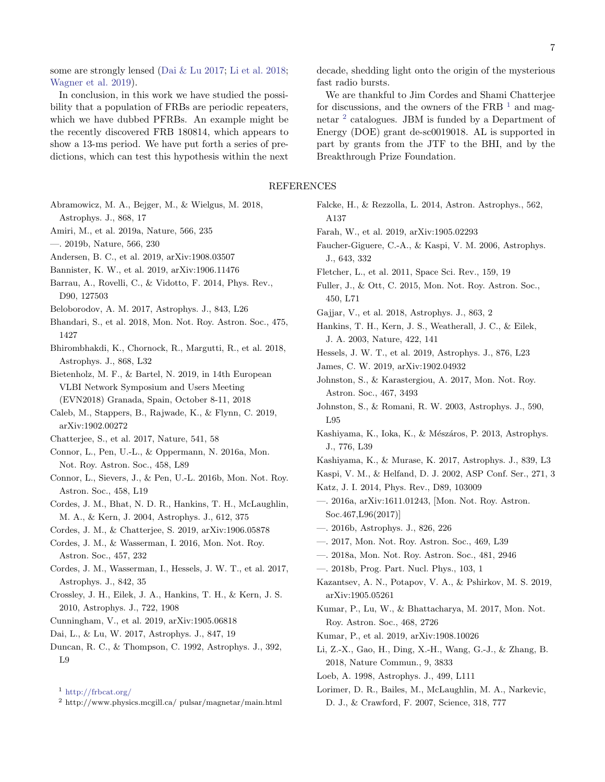some are strongly lensed [\(Dai & Lu](#page-6-46) [2017;](#page-6-46) [Li et al.](#page-6-47) [2018;](#page-6-47) [Wagner et al.](#page-7-52) [2019\)](#page-7-52).

In conclusion, in this work we have studied the possibility that a population of FRBs are periodic repeaters, which we have dubbed PFRBs. An example might be the recently discovered FRB 180814, which appears to show a 13-ms period. We have put forth a series of predictions, which can test this hypothesis within the next decade, shedding light onto the origin of the mysterious fast radio bursts.

We are thankful to Jim Cordes and Shami Chatterjee for discussions, and the owners of the FRB  $<sup>1</sup>$  $<sup>1</sup>$  $<sup>1</sup>$  and mag-</sup> netar<sup>[2](#page-6-49)</sup> catalogues. JBM is funded by a Department of Energy (DOE) grant de-sc0019018. AL is supported in part by grants from the JTF to the BHI, and by the Breakthrough Prize Foundation.

# REFERENCES

- <span id="page-6-10"></span>Abramowicz, M. A., Bejger, M., & Wielgus, M. 2018, Astrophys. J., 868, 17
- <span id="page-6-16"></span>Amiri, M., et al. 2019a, Nature, 566, 235
- <span id="page-6-2"></span>—. 2019b, Nature, 566, 230
- <span id="page-6-17"></span>Andersen, B. C., et al. 2019, arXiv:1908.03507
- <span id="page-6-24"></span>Bannister, K. W., et al. 2019, arXiv:1906.11476
- <span id="page-6-13"></span>Barrau, A., Rovelli, C., & Vidotto, F. 2014, Phys. Rev., D90, 127503
- <span id="page-6-11"></span>Beloborodov, A. M. 2017, Astrophys. J., 843, L26
- <span id="page-6-15"></span>Bhandari, S., et al. 2018, Mon. Not. Roy. Astron. Soc., 475, 1427
- <span id="page-6-39"></span>Bhirombhakdi, K., Chornock, R., Margutti, R., et al. 2018, Astrophys. J., 868, L32
- <span id="page-6-25"></span>Bietenholz, M. F., & Bartel, N. 2019, in 14th European VLBI Network Symposium and Users Meeting (EVN2018) Granada, Spain, October 8-11, 2018
- <span id="page-6-36"></span>Caleb, M., Stappers, B., Rajwade, K., & Flynn, C. 2019, arXiv:1902.00272
- <span id="page-6-19"></span>Chatterjee, S., et al. 2017, Nature, 541, 58
- <span id="page-6-29"></span>Connor, L., Pen, U.-L., & Oppermann, N. 2016a, Mon. Not. Roy. Astron. Soc., 458, L89
- <span id="page-6-7"></span>Connor, L., Sievers, J., & Pen, U.-L. 2016b, Mon. Not. Roy. Astron. Soc., 458, L19
- <span id="page-6-22"></span>Cordes, J. M., Bhat, N. D. R., Hankins, T. H., McLaughlin, M. A., & Kern, J. 2004, Astrophys. J., 612, 375
- <span id="page-6-4"></span>Cordes, J. M., & Chatterjee, S. 2019, arXiv:1906.05878
- <span id="page-6-5"></span>Cordes, J. M., & Wasserman, I. 2016, Mon. Not. Roy. Astron. Soc., 457, 232
- <span id="page-6-44"></span>Cordes, J. M., Wasserman, I., Hessels, J. W. T., et al. 2017, Astrophys. J., 842, 35
- <span id="page-6-30"></span>Crossley, J. H., Eilek, J. A., Hankins, T. H., & Kern, J. S. 2010, Astrophys. J., 722, 1908
- <span id="page-6-40"></span>Cunningham, V., et al. 2019, arXiv:1905.06818
- <span id="page-6-46"></span>Dai, L., & Lu, W. 2017, Astrophys. J., 847, 19
- <span id="page-6-26"></span>Duncan, R. C., & Thompson, C. 1992, Astrophys. J., 392, L9

<span id="page-6-49"></span> $^2$ http://www.physics.mcgill.ca/ pulsar/magnetar/main.html

- <span id="page-6-8"></span>Falcke, H., & Rezzolla, L. 2014, Astron. Astrophys., 562, A137
- <span id="page-6-32"></span><span id="page-6-1"></span>Farah, W., et al. 2019, arXiv:1905.02293
- Faucher-Giguere, C.-A., & Kaspi, V. M. 2006, Astrophys. J., 643, 332
- <span id="page-6-43"></span>Fletcher, L., et al. 2011, Space Sci. Rev., 159, 19
- <span id="page-6-9"></span>Fuller, J., & Ott, C. 2015, Mon. Not. Roy. Astron. Soc., 450, L71
- <span id="page-6-20"></span>Gajjar, V., et al. 2018, Astrophys. J., 863, 2
- <span id="page-6-23"></span>Hankins, T. H., Kern, J. S., Weatherall, J. C., & Eilek, J. A. 2003, Nature, 422, 141
- <span id="page-6-38"></span>Hessels, J. W. T., et al. 2019, Astrophys. J., 876, L23
- <span id="page-6-35"></span>James, C. W. 2019, arXiv:1902.04932
- <span id="page-6-33"></span>Johnston, S., & Karastergiou, A. 2017, Mon. Not. Roy. Astron. Soc., 467, 3493
- <span id="page-6-28"></span>Johnston, S., & Romani, R. W. 2003, Astrophys. J., 590, L95
- <span id="page-6-12"></span>Kashiyama, K., Ioka, K., & Mészáros, P. 2013, Astrophys. J., 776, L39
- <span id="page-6-37"></span><span id="page-6-27"></span>Kashiyama, K., & Murase, K. 2017, Astrophys. J., 839, L3
- Kaspi, V. M., & Helfand, D. J. 2002, ASP Conf. Ser., 271, 3
- <span id="page-6-14"></span>Katz, J. I. 2014, Phys. Rev., D89, 103009
- <span id="page-6-34"></span>—. 2016a, arXiv:1611.01243, [Mon. Not. Roy. Astron. Soc.467,L96(2017)]
- <span id="page-6-21"></span><span id="page-6-6"></span>—. 2016b, Astrophys. J., 826, 226
- —. 2017, Mon. Not. Roy. Astron. Soc., 469, L39
- <span id="page-6-41"></span>—. 2018a, Mon. Not. Roy. Astron. Soc., 481, 2946
- <span id="page-6-3"></span>—. 2018b, Prog. Part. Nucl. Phys., 103, 1
- <span id="page-6-31"></span>Kazantsev, A. N., Potapov, V. A., & Pshirkov, M. S. 2019, arXiv:1905.05261
- <span id="page-6-42"></span>Kumar, P., Lu, W., & Bhattacharya, M. 2017, Mon. Not. Roy. Astron. Soc., 468, 2726
- <span id="page-6-18"></span>Kumar, P., et al. 2019, arXiv:1908.10026
- <span id="page-6-47"></span>Li, Z.-X., Gao, H., Ding, X.-H., Wang, G.-J., & Zhang, B. 2018, Nature Commun., 9, 3833
- <span id="page-6-45"></span>Loeb, A. 1998, Astrophys. J., 499, L111
- <span id="page-6-0"></span>Lorimer, D. R., Bailes, M., McLaughlin, M. A., Narkevic, D. J., & Crawford, F. 2007, Science, 318, 777

<span id="page-6-48"></span><sup>1</sup> <http://frbcat.org/>